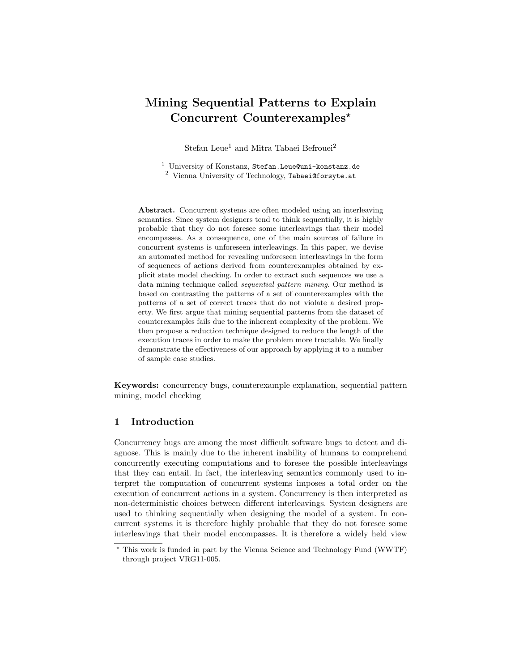# Mining Sequential Patterns to Explain Concurrent Counterexamples<sup>\*</sup>

Stefan Leue<sup>1</sup> and Mitra Tabaei Befrouei<sup>2</sup>

<sup>1</sup> University of Konstanz, Stefan.Leue@uni-konstanz.de  $2$  Vienna University of Technology, Tabaei@forsyte.at

Abstract. Concurrent systems are often modeled using an interleaving semantics. Since system designers tend to think sequentially, it is highly probable that they do not foresee some interleavings that their model encompasses. As a consequence, one of the main sources of failure in concurrent systems is unforeseen interleavings. In this paper, we devise an automated method for revealing unforeseen interleavings in the form of sequences of actions derived from counterexamples obtained by explicit state model checking. In order to extract such sequences we use a data mining technique called sequential pattern mining. Our method is based on contrasting the patterns of a set of counterexamples with the patterns of a set of correct traces that do not violate a desired property. We first argue that mining sequential patterns from the dataset of counterexamples fails due to the inherent complexity of the problem. We then propose a reduction technique designed to reduce the length of the execution traces in order to make the problem more tractable. We finally demonstrate the effectiveness of our approach by applying it to a number of sample case studies.

Keywords: concurrency bugs, counterexample explanation, sequential pattern mining, model checking

# 1 Introduction

Concurrency bugs are among the most difficult software bugs to detect and diagnose. This is mainly due to the inherent inability of humans to comprehend concurrently executing computations and to foresee the possible interleavings that they can entail. In fact, the interleaving semantics commonly used to interpret the computation of concurrent systems imposes a total order on the execution of concurrent actions in a system. Concurrency is then interpreted as non-deterministic choices between different interleavings. System designers are used to thinking sequentially when designing the model of a system. In concurrent systems it is therefore highly probable that they do not foresee some interleavings that their model encompasses. It is therefore a widely held view

<sup>?</sup> This work is funded in part by the Vienna Science and Technology Fund (WWTF) through project VRG11-005.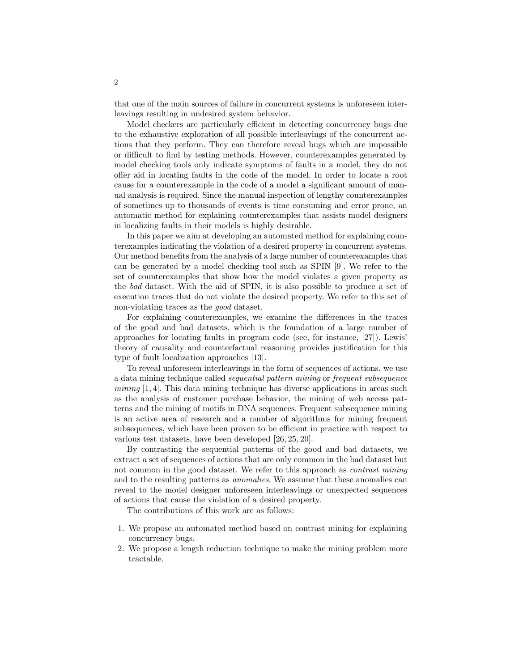that one of the main sources of failure in concurrent systems is unforeseen interleavings resulting in undesired system behavior.

Model checkers are particularly efficient in detecting concurrency bugs due to the exhaustive exploration of all possible interleavings of the concurrent actions that they perform. They can therefore reveal bugs which are impossible or difficult to find by testing methods. However, counterexamples generated by model checking tools only indicate symptoms of faults in a model, they do not offer aid in locating faults in the code of the model. In order to locate a root cause for a counterexample in the code of a model a significant amount of manual analysis is required. Since the manual inspection of lengthy counterexamples of sometimes up to thousands of events is time consuming and error prone, an automatic method for explaining counterexamples that assists model designers in localizing faults in their models is highly desirable.

In this paper we aim at developing an automated method for explaining counterexamples indicating the violation of a desired property in concurrent systems. Our method benefits from the analysis of a large number of counterexamples that can be generated by a model checking tool such as SPIN [9]. We refer to the set of counterexamples that show how the model violates a given property as the bad dataset. With the aid of SPIN, it is also possible to produce a set of execution traces that do not violate the desired property. We refer to this set of non-violating traces as the good dataset.

For explaining counterexamples, we examine the differences in the traces of the good and bad datasets, which is the foundation of a large number of approaches for locating faults in program code (see, for instance, [27]). Lewis' theory of causality and counterfactual reasoning provides justification for this type of fault localization approaches [13].

To reveal unforeseen interleavings in the form of sequences of actions, we use a data mining technique called sequential pattern mining or frequent subsequence  $mining$  [1, 4]. This data mining technique has diverse applications in areas such as the analysis of customer purchase behavior, the mining of web access patterns and the mining of motifs in DNA sequences. Frequent subsequence mining is an active area of research and a number of algorithms for mining frequent subsequences, which have been proven to be efficient in practice with respect to various test datasets, have been developed [26, 25, 20].

By contrasting the sequential patterns of the good and bad datasets, we extract a set of sequences of actions that are only common in the bad dataset but not common in the good dataset. We refer to this approach as *contrast mining* and to the resulting patterns as anomalies. We assume that these anomalies can reveal to the model designer unforeseen interleavings or unexpected sequences of actions that cause the violation of a desired property.

The contributions of this work are as follows:

- 1. We propose an automated method based on contrast mining for explaining concurrency bugs.
- 2. We propose a length reduction technique to make the mining problem more tractable.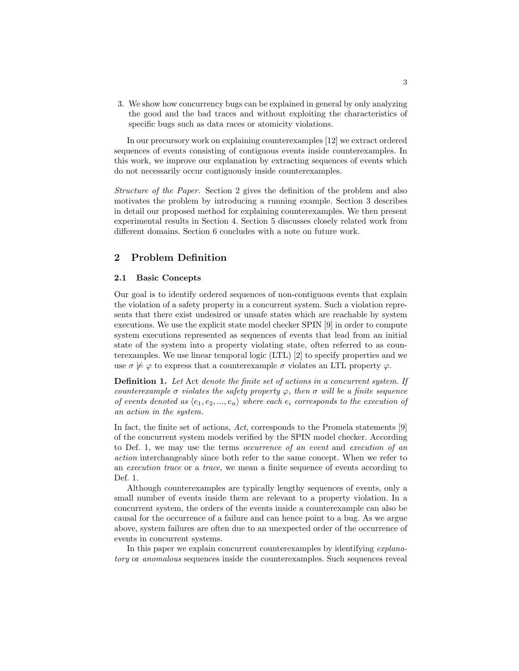3. We show how concurrency bugs can be explained in general by only analyzing the good and the bad traces and without exploiting the characteristics of specific bugs such as data races or atomicity violations.

In our precursory work on explaining counterexamples [12] we extract ordered sequences of events consisting of contiguous events inside counterexamples. In this work, we improve our explanation by extracting sequences of events which do not necessarily occur contiguously inside counterexamples.

Structure of the Paper. Section 2 gives the definition of the problem and also motivates the problem by introducing a running example. Section 3 describes in detail our proposed method for explaining counterexamples. We then present experimental results in Section 4. Section 5 discusses closely related work from different domains. Section 6 concludes with a note on future work.

## 2 Problem Definition

## 2.1 Basic Concepts

Our goal is to identify ordered sequences of non-contiguous events that explain the violation of a safety property in a concurrent system. Such a violation represents that there exist undesired or unsafe states which are reachable by system executions. We use the explicit state model checker SPIN [9] in order to compute system executions represented as sequences of events that lead from an initial state of the system into a property violating state, often referred to as counterexamples. We use linear temporal logic (LTL) [2] to specify properties and we use  $\sigma \not\models \varphi$  to express that a counterexample  $\sigma$  violates an LTL property  $\varphi$ .

Definition 1. Let Act denote the finite set of actions in a concurrent system. If counterexample  $\sigma$  violates the safety property  $\varphi$ , then  $\sigma$  will be a finite sequence of events denoted as  $\langle e_1, e_2, ..., e_n \rangle$  where each  $e_i$  corresponds to the execution of an action in the system.

In fact, the finite set of actions, Act, corresponds to the Promela statements [9] of the concurrent system models verified by the SPIN model checker. According to Def. 1, we may use the terms occurrence of an event and execution of an action interchangeably since both refer to the same concept. When we refer to an execution trace or a trace, we mean a finite sequence of events according to Def. 1.

Although counterexamples are typically lengthy sequences of events, only a small number of events inside them are relevant to a property violation. In a concurrent system, the orders of the events inside a counterexample can also be causal for the occurrence of a failure and can hence point to a bug. As we argue above, system failures are often due to an unexpected order of the occurrence of events in concurrent systems.

In this paper we explain concurrent counterexamples by identifying explanatory or anomalous sequences inside the counterexamples. Such sequences reveal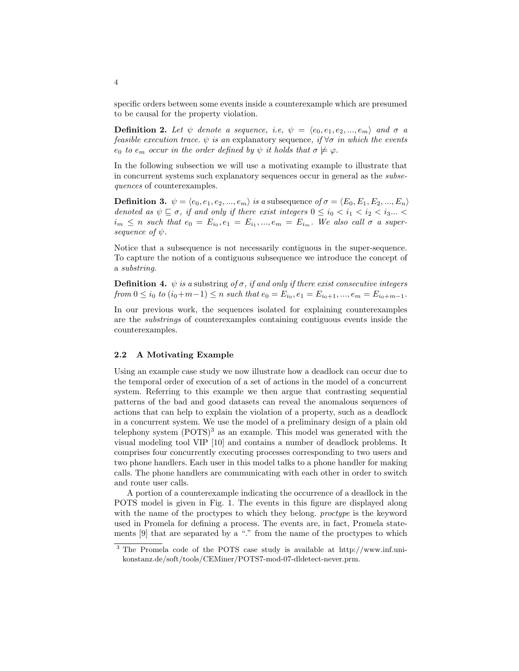specific orders between some events inside a counterexample which are presumed to be causal for the property violation.

**Definition 2.** Let  $\psi$  denote a sequence, i.e,  $\psi = \langle e_0, e_1, e_2, ..., e_m \rangle$  and  $\sigma$  a feasible execution trace.  $\psi$  is an explanatory sequence, if  $\forall \sigma$  in which the events  $e_0$  to  $e_m$  occur in the order defined by  $\psi$  it holds that  $\sigma \not\models \varphi$ .

In the following subsection we will use a motivating example to illustrate that in concurrent systems such explanatory sequences occur in general as the subsequences of counterexamples.

**Definition 3.**  $\psi = \langle e_0, e_1, e_2, ..., e_m \rangle$  is a subsequence of  $\sigma = \langle E_0, E_1, E_2, ..., E_n \rangle$ denoted as  $\psi \sqsubseteq \sigma$ , if and only if there exist integers  $0 \leq i_0 < i_1 < i_2 < i_3...$  $i_m \leq n$  such that  $e_0 = E_{i_0}, e_1 = E_{i_1}, ..., e_m = E_{i_m}$ . We also call  $\sigma$  a supersequence of  $\psi$ .

Notice that a subsequence is not necessarily contiguous in the super-sequence. To capture the notion of a contiguous subsequence we introduce the concept of a substring.

**Definition 4.**  $\psi$  is a substring of  $\sigma$ , if and only if there exist consecutive integers from  $0 \leq i_0$  to  $(i_0+m-1) \leq n$  such that  $e_0 = E_{i_0}, e_1 = E_{i_0+1}, ..., e_m = E_{i_0+m-1}$ .

In our previous work, the sequences isolated for explaining counterexamples are the substrings of counterexamples containing contiguous events inside the counterexamples.

## 2.2 A Motivating Example

Using an example case study we now illustrate how a deadlock can occur due to the temporal order of execution of a set of actions in the model of a concurrent system. Referring to this example we then argue that contrasting sequential patterns of the bad and good datasets can reveal the anomalous sequences of actions that can help to explain the violation of a property, such as a deadlock in a concurrent system. We use the model of a preliminary design of a plain old telephony system  $(POSTS)^3$  as an example. This model was generated with the visual modeling tool VIP [10] and contains a number of deadlock problems. It comprises four concurrently executing processes corresponding to two users and two phone handlers. Each user in this model talks to a phone handler for making calls. The phone handlers are communicating with each other in order to switch and route user calls.

A portion of a counterexample indicating the occurrence of a deadlock in the POTS model is given in Fig. 1. The events in this figure are displayed along with the name of the proctypes to which they belong. *proctype* is the keyword used in Promela for defining a process. The events are, in fact, Promela statements [9] that are separated by a "." from the name of the proctypes to which

4

<sup>3</sup> The Promela code of the POTS case study is available at http://www.inf.unikonstanz.de/soft/tools/CEMiner/POTS7-mod-07-dldetect-never.prm.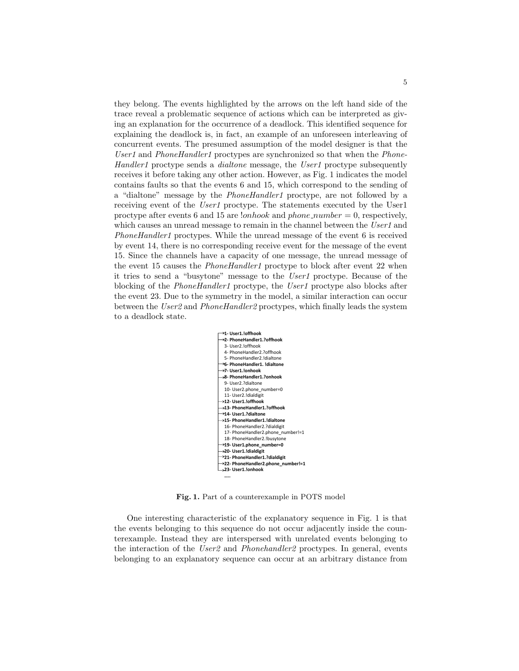they belong. The events highlighted by the arrows on the left hand side of the trace reveal a problematic sequence of actions which can be interpreted as giving an explanation for the occurrence of a deadlock. This identified sequence for explaining the deadlock is, in fact, an example of an unforeseen interleaving of concurrent events. The presumed assumption of the model designer is that the User1 and PhoneHandler1 proctypes are synchronized so that when the Phone-Handler1 proctype sends a dialtone message, the User1 proctype subsequently receives it before taking any other action. However, as Fig. 1 indicates the model contains faults so that the events 6 and 15, which correspond to the sending of a "dialtone" message by the PhoneHandler1 proctype, are not followed by a receiving event of the User1 proctype. The statements executed by the User1 proctype after events 6 and 15 are  $lonhook$  and phone number = 0, respectively, which causes an unread message to remain in the channel between the User1 and PhoneHandler1 proctypes. While the unread message of the event 6 is received by event 14, there is no corresponding receive event for the message of the event 15. Since the channels have a capacity of one message, the unread message of the event 15 causes the *PhoneHandler1* proctype to block after event 22 when it tries to send a "busytone" message to the User1 proctype. Because of the blocking of the PhoneHandler1 proctype, the User1 proctype also blocks after the event 23. Due to the symmetry in the model, a similar interaction can occur between the User2 and PhoneHandler2 proctypes, which finally leads the system to a deadlock state.



Fig. 1. Part of a counterexample in POTS model

One interesting characteristic of the explanatory sequence in Fig. 1 is that the events belonging to this sequence do not occur adjacently inside the counterexample. Instead they are interspersed with unrelated events belonging to the interaction of the User2 and Phonehandler2 proctypes. In general, events belonging to an explanatory sequence can occur at an arbitrary distance from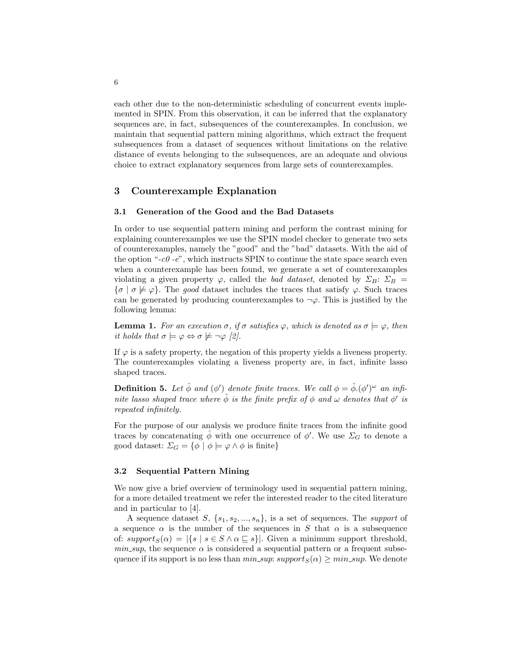each other due to the non-deterministic scheduling of concurrent events implemented in SPIN. From this observation, it can be inferred that the explanatory sequences are, in fact, subsequences of the counterexamples. In conclusion, we maintain that sequential pattern mining algorithms, which extract the frequent subsequences from a dataset of sequences without limitations on the relative distance of events belonging to the subsequences, are an adequate and obvious choice to extract explanatory sequences from large sets of counterexamples.

# 3 Counterexample Explanation

#### 3.1 Generation of the Good and the Bad Datasets

In order to use sequential pattern mining and perform the contrast mining for explaining counterexamples we use the SPIN model checker to generate two sets of counterexamples, namely the "good" and the "bad" datasets. With the aid of the option "-c $\theta$ -e", which instructs SPIN to continue the state space search even when a counterexample has been found, we generate a set of counterexamples violating a given property  $\varphi$ , called the bad dataset, denoted by  $\Sigma_B$ :  $\Sigma_B$  =  ${\sigma \mid \sigma \not\models \varphi}$ . The good dataset includes the traces that satisfy  $\varphi$ . Such traces can be generated by producing counterexamples to  $\neg \varphi$ . This is justified by the following lemma:

**Lemma 1.** For an execution  $\sigma$ , if  $\sigma$  satisfies  $\varphi$ , which is denoted as  $\sigma \models \varphi$ , then it holds that  $\sigma \models \varphi \Leftrightarrow \sigma \not\models \neg \varphi \ [2].$ 

If  $\varphi$  is a safety property, the negation of this property yields a liveness property. The counterexamples violating a liveness property are, in fact, infinite lasso shaped traces.

**Definition 5.** Let  $\hat{\phi}$  and  $(\phi')$  denote finite traces. We call  $\phi = \hat{\phi} . (\phi')^{\omega}$  an infinite lasso shaped trace where  $\hat{\phi}$  is the finite prefix of  $\phi$  and  $\omega$  denotes that  $\phi'$  is repeated infinitely.

For the purpose of our analysis we produce finite traces from the infinite good traces by concatenating  $\hat{\phi}$  with one occurrence of  $\phi'$ . We use  $\Sigma_G$  to denote a good dataset:  $\Sigma_G = \{ \phi \mid \phi \models \varphi \land \phi \text{ is finite} \}$ 

### 3.2 Sequential Pattern Mining

We now give a brief overview of terminology used in sequential pattern mining, for a more detailed treatment we refer the interested reader to the cited literature and in particular to [4].

A sequence dataset  $S, \{s_1, s_2, ..., s_n\}$ , is a set of sequences. The support of a sequence  $\alpha$  is the number of the sequences in S that  $\alpha$  is a subsequence of:  $support_S(\alpha) = |\{s \mid s \in S \land \alpha \sqsubseteq s\}|$ . Given a minimum support threshold,  $min\_sup$ , the sequence  $\alpha$  is considered a sequential pattern or a frequent subsequence if its support is no less than  $min\_sup: support_S(\alpha) \geq min\_sup$ . We denote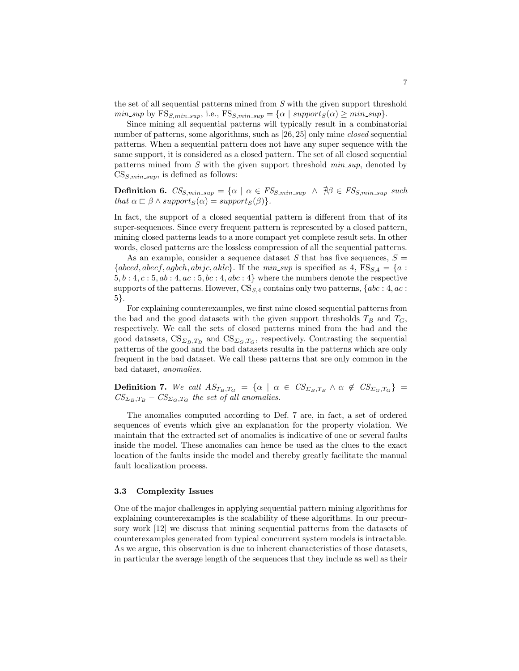the set of all sequential patterns mined from S with the given support threshold  $min\_sup$  by  $\text{FS}_{S,min\_sup}$ , i.e.,  $\text{FS}_{S,min\_sup} = {\alpha \mid support_S(\alpha) \geq min\_sup}$ .

Since mining all sequential patterns will typically result in a combinatorial number of patterns, some algorithms, such as [26, 25] only mine *closed* sequential patterns. When a sequential pattern does not have any super sequence with the same support, it is considered as a closed pattern. The set of all closed sequential patterns mined from  $S$  with the given support threshold  $min\_sup$ , denoted by  $CS_{S,min,sup}$ , is defined as follows:

**Definition 6.**  $CS_{S,min,sup} = {\alpha \mid \alpha \in FS_{S,min,sup} \land \nexists \beta \in FS_{S,min,sup} \text{ such}}$ that  $\alpha \sqsubset \beta \wedge support_{S}(\alpha) = support_{S}(\beta)$ .

In fact, the support of a closed sequential pattern is different from that of its super-sequences. Since every frequent pattern is represented by a closed pattern, mining closed patterns leads to a more compact yet complete result sets. In other words, closed patterns are the lossless compression of all the sequential patterns.

As an example, consider a sequence dataset S that has five sequences,  $S =$ {abced, abecf, agbch, abijc, aklc}. If the min\_sup is specified as 4,  $\text{FS}_{S,4} = \{a :$  $5, b : 4, c : 5, ab : 4, ac : 5, bc : 4, abc : 4$  where the numbers denote the respective supports of the patterns. However,  $CS_{S,4}$  contains only two patterns, { $abc:4, ac:$ 5}.

For explaining counterexamples, we first mine closed sequential patterns from the bad and the good datasets with the given support thresholds  $T_B$  and  $T_G$ , respectively. We call the sets of closed patterns mined from the bad and the good datasets,  $CS_{\Sigma_B,T_B}$  and  $CS_{\Sigma_G,T_G}$ , respectively. Contrasting the sequential patterns of the good and the bad datasets results in the patterns which are only frequent in the bad dataset. We call these patterns that are only common in the bad dataset, anomalies.

**Definition 7.** We call  $AS_{T_B,T_G} = {\alpha \mid \alpha \in CS_{\Sigma_B,T_B} \land \alpha \notin CS_{\Sigma_G,T_G}} =$  $CS_{\Sigma_B,T_B} - CS_{\Sigma_G,T_G}$  the set of all anomalies.

The anomalies computed according to Def. 7 are, in fact, a set of ordered sequences of events which give an explanation for the property violation. We maintain that the extracted set of anomalies is indicative of one or several faults inside the model. These anomalies can hence be used as the clues to the exact location of the faults inside the model and thereby greatly facilitate the manual fault localization process.

#### 3.3 Complexity Issues

One of the major challenges in applying sequential pattern mining algorithms for explaining counterexamples is the scalability of these algorithms. In our precursory work [12] we discuss that mining sequential patterns from the datasets of counterexamples generated from typical concurrent system models is intractable. As we argue, this observation is due to inherent characteristics of those datasets, in particular the average length of the sequences that they include as well as their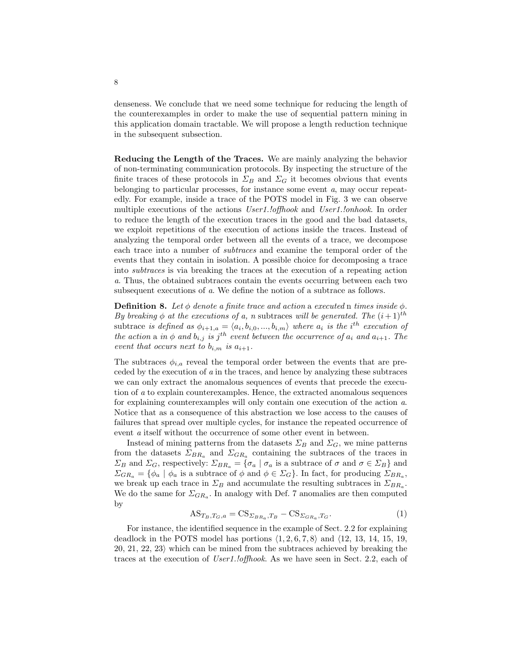denseness. We conclude that we need some technique for reducing the length of the counterexamples in order to make the use of sequential pattern mining in this application domain tractable. We will propose a length reduction technique in the subsequent subsection.

Reducing the Length of the Traces. We are mainly analyzing the behavior of non-terminating communication protocols. By inspecting the structure of the finite traces of these protocols in  $\Sigma_B$  and  $\Sigma_G$  it becomes obvious that events belonging to particular processes, for instance some event a, may occur repeatedly. For example, inside a trace of the POTS model in Fig. 3 we can observe multiple executions of the actions User1.!offhook and User1.!onhook. In order to reduce the length of the execution traces in the good and the bad datasets, we exploit repetitions of the execution of actions inside the traces. Instead of analyzing the temporal order between all the events of a trace, we decompose each trace into a number of subtraces and examine the temporal order of the events that they contain in isolation. A possible choice for decomposing a trace into subtraces is via breaking the traces at the execution of a repeating action a. Thus, the obtained subtraces contain the events occurring between each two subsequent executions of a. We define the notion of a subtrace as follows.

**Definition 8.** Let  $\phi$  denote a finite trace and action a executed n times inside  $\phi$ . By breaking  $\phi$  at the executions of a, n subtraces will be generated. The  $(i+1)^{th}$ subtrace is defined as  $\phi_{i+1,a} = \langle a_i, b_{i,0}, ..., b_{i,m} \rangle$  where  $a_i$  is the i<sup>th</sup> execution of the action a in  $\phi$  and  $b_{i,j}$  is j<sup>th</sup> event between the occurrence of  $a_i$  and  $a_{i+1}$ . The event that occurs next to  $b_{i,m}$  is  $a_{i+1}$ .

The subtraces  $\phi_{i,a}$  reveal the temporal order between the events that are preceded by the execution of  $a$  in the traces, and hence by analyzing these subtraces we can only extract the anomalous sequences of events that precede the execution of a to explain counterexamples. Hence, the extracted anomalous sequences for explaining counterexamples will only contain one execution of the action a. Notice that as a consequence of this abstraction we lose access to the causes of failures that spread over multiple cycles, for instance the repeated occurrence of event a itself without the occurrence of some other event in between.

Instead of mining patterns from the datasets  $\Sigma_B$  and  $\Sigma_G$ , we mine patterns from the datasets  $\Sigma_{BR_a}$  and  $\Sigma_{GR_a}$  containing the subtraces of the traces in  $\Sigma_B$  and  $\Sigma_G$ , respectively:  $\Sigma_{BR_a} = {\sigma_a \mid \sigma_a \text{ is a subtree of } \sigma \text{ and } \sigma \in \Sigma_B }$  and  $\Sigma_{GR_a} = \{\phi_a \mid \phi_a \text{ is a subtree of } \phi \text{ and } \phi \in \Sigma_G\}.$  In fact, for producing  $\Sigma_{BR_a}$ , we break up each trace in  $\Sigma_B$  and accumulate the resulting subtraces in  $\Sigma_{BR_a}$ . We do the same for  $\Sigma_{GR_a}$ . In analogy with Def. 7 anomalies are then computed by

$$
\text{AS}_{T_B, T_G, a} = \text{CS}_{\Sigma_{BR_a}, T_B} - \text{CS}_{\Sigma_{GR_a}, T_G}.\tag{1}
$$

For instance, the identified sequence in the example of Sect. 2.2 for explaining deadlock in the POTS model has portions  $\langle 1, 2, 6, 7, 8 \rangle$  and  $\langle 12, 13, 14, 15, 19,$  $20, 21, 22, 23$  which can be mined from the subtraces achieved by breaking the traces at the execution of *User1.!offhook*. As we have seen in Sect. 2.2, each of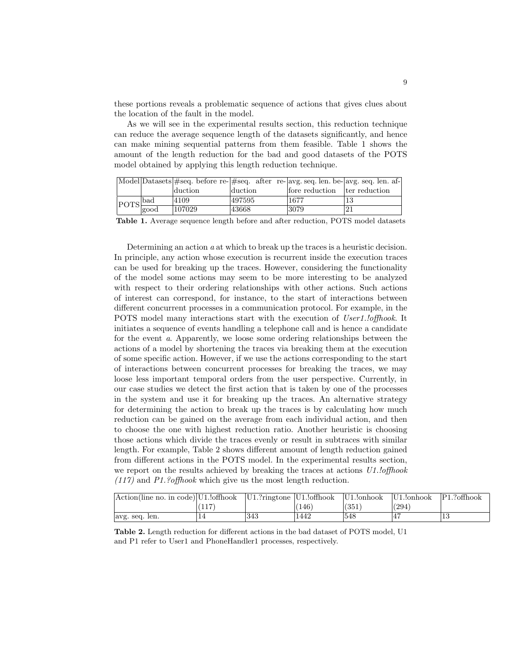these portions reveals a problematic sequence of actions that gives clues about the location of the fault in the model.

As we will see in the experimental results section, this reduction technique can reduce the average sequence length of the datasets significantly, and hence can make mining sequential patterns from them feasible. Table 1 shows the amount of the length reduction for the bad and good datasets of the POTS model obtained by applying this length reduction technique.

|       |                   |         |         |                              | Model Datasets #seq. before re- #seq. after re- avg. seq. len. be- avg. seq. len. af- |
|-------|-------------------|---------|---------|------------------------------|---------------------------------------------------------------------------------------|
|       |                   | duction | duction | fore reduction ter reduction |                                                                                       |
| POTS. | <sub>ca</sub> bad | 4109    | 497595  | 1677                         |                                                                                       |
|       | good              | 107029  | 43668   | 3079                         | '21                                                                                   |

Table 1. Average sequence length before and after reduction, POTS model datasets

Determining an action a at which to break up the traces is a heuristic decision. In principle, any action whose execution is recurrent inside the execution traces can be used for breaking up the traces. However, considering the functionality of the model some actions may seem to be more interesting to be analyzed with respect to their ordering relationships with other actions. Such actions of interest can correspond, for instance, to the start of interactions between different concurrent processes in a communication protocol. For example, in the POTS model many interactions start with the execution of User1.!offhook. It initiates a sequence of events handling a telephone call and is hence a candidate for the event a. Apparently, we loose some ordering relationships between the actions of a model by shortening the traces via breaking them at the execution of some specific action. However, if we use the actions corresponding to the start of interactions between concurrent processes for breaking the traces, we may loose less important temporal orders from the user perspective. Currently, in our case studies we detect the first action that is taken by one of the processes in the system and use it for breaking up the traces. An alternative strategy for determining the action to break up the traces is by calculating how much reduction can be gained on the average from each individual action, and then to choose the one with highest reduction ratio. Another heuristic is choosing those actions which divide the traces evenly or result in subtraces with similar length. For example, Table 2 shows different amount of length reduction gained from different actions in the POTS model. In the experimental results section, we report on the results achieved by breaking the traces at actions  $U1$ . *loffhook* (117) and P1.?offhook which give us the most length reduction.

| Action line no. in code) U1.!offbook |                  | $ U1.?$ ringtone $ U1.!$ offhook |      | $ U1$ .!onhook | $ U1$ .!onhook | $ P1.?$ offhook |
|--------------------------------------|------------------|----------------------------------|------|----------------|----------------|-----------------|
|                                      | $-17$<br>' 1 1 1 |                                  | 146  | (351           | $^{\prime}294$ |                 |
| avg. seq. len.                       |                  | 343                              | 1442 | 548            | 47             | -Lei            |

Table 2. Length reduction for different actions in the bad dataset of POTS model, U1 and P1 refer to User1 and PhoneHandler1 processes, respectively.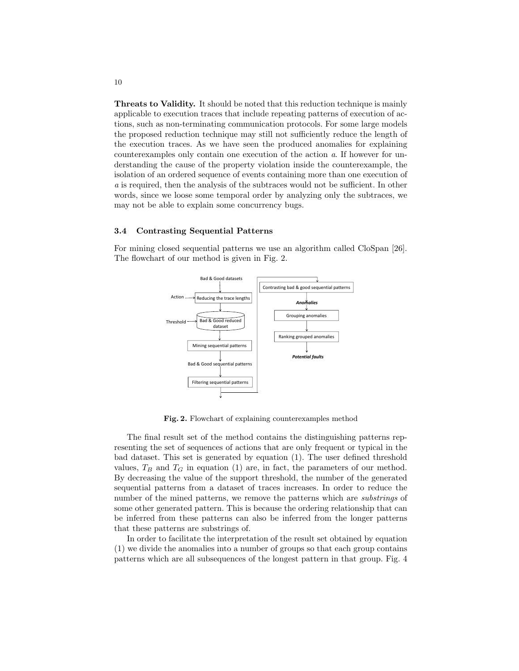Threats to Validity. It should be noted that this reduction technique is mainly applicable to execution traces that include repeating patterns of execution of actions, such as non-terminating communication protocols. For some large models the proposed reduction technique may still not sufficiently reduce the length of the execution traces. As we have seen the produced anomalies for explaining counterexamples only contain one execution of the action a. If however for understanding the cause of the property violation inside the counterexample, the isolation of an ordered sequence of events containing more than one execution of a is required, then the analysis of the subtraces would not be sufficient. In other words, since we loose some temporal order by analyzing only the subtraces, we may not be able to explain some concurrency bugs.

#### 3.4 Contrasting Sequential Patterns

For mining closed sequential patterns we use an algorithm called CloSpan [26]. The flowchart of our method is given in Fig. 2.



Fig. 2. Flowchart of explaining counterexamples method

The final result set of the method contains the distinguishing patterns representing the set of sequences of actions that are only frequent or typical in the bad dataset. This set is generated by equation (1). The user defined threshold values,  $T_B$  and  $T_G$  in equation (1) are, in fact, the parameters of our method. By decreasing the value of the support threshold, the number of the generated sequential patterns from a dataset of traces increases. In order to reduce the number of the mined patterns, we remove the patterns which are *substrings* of some other generated pattern. This is because the ordering relationship that can be inferred from these patterns can also be inferred from the longer patterns that these patterns are substrings of.

In order to facilitate the interpretation of the result set obtained by equation (1) we divide the anomalies into a number of groups so that each group contains patterns which are all subsequences of the longest pattern in that group. Fig. 4

10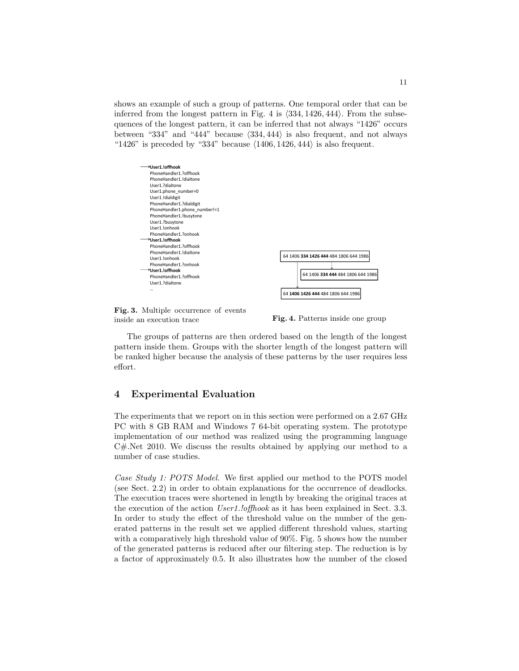shows an example of such a group of patterns. One temporal order that can be inferred from the longest pattern in Fig. 4 is  $\langle 334, 1426, 444 \rangle$ . From the subsequences of the longest pattern, it can be inferred that not always "1426" occurs between "334" and "444" because  $\langle 334, 444 \rangle$  is also frequent, and not always " $1426$ " is preceded by " $334$ " because  $\langle 1406, 1426, 444 \rangle$  is also frequent.



Fig. 3. Multiple occurrence of events inside an execution trace

Fig. 4. Patterns inside one group

The groups of patterns are then ordered based on the length of the longest pattern inside them. Groups with the shorter length of the longest pattern will be ranked higher because the analysis of these patterns by the user requires less effort.

# 4 Experimental Evaluation

The experiments that we report on in this section were performed on a 2.67 GHz PC with 8 GB RAM and Windows 7 64-bit operating system. The prototype implementation of our method was realized using the programming language C#.Net 2010. We discuss the results obtained by applying our method to a number of case studies.

Case Study 1: POTS Model. We first applied our method to the POTS model (see Sect. 2.2) in order to obtain explanations for the occurrence of deadlocks. The execution traces were shortened in length by breaking the original traces at the execution of the action *User1.!offhook* as it has been explained in Sect. 3.3. In order to study the effect of the threshold value on the number of the generated patterns in the result set we applied different threshold values, starting with a comparatively high threshold value of 90%. Fig. 5 shows how the number of the generated patterns is reduced after our filtering step. The reduction is by a factor of approximately 0.5. It also illustrates how the number of the closed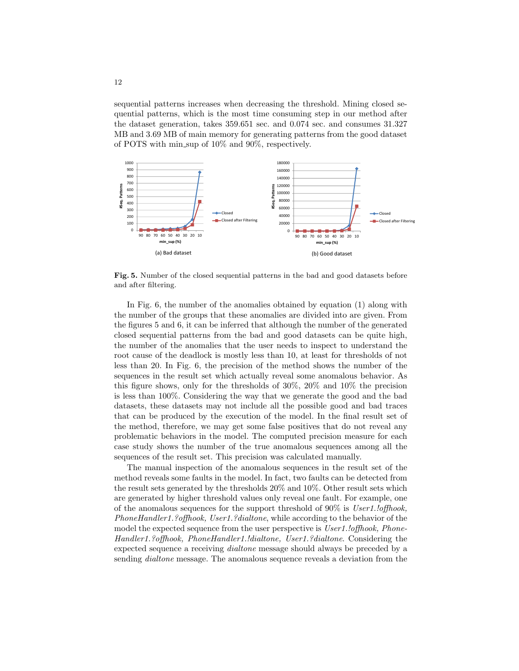sequential patterns increases when decreasing the threshold. Mining closed sequential patterns, which is the most time consuming step in our method after the dataset generation, takes 359.651 sec. and 0.074 sec. and consumes 31.327 MB and 3.69 MB of main memory for generating patterns from the good dataset of POTS with min sup of 10% and 90%, respectively.



Fig. 5. Number of the closed sequential patterns in the bad and good datasets before and after filtering.

In Fig. 6, the number of the anomalies obtained by equation (1) along with the number of the groups that these anomalies are divided into are given. From the figures 5 and 6, it can be inferred that although the number of the generated closed sequential patterns from the bad and good datasets can be quite high, the number of the anomalies that the user needs to inspect to understand the root cause of the deadlock is mostly less than 10, at least for thresholds of not less than 20. In Fig. 6, the precision of the method shows the number of the sequences in the result set which actually reveal some anomalous behavior. As this figure shows, only for the thresholds of 30%, 20% and 10% the precision is less than 100%. Considering the way that we generate the good and the bad datasets, these datasets may not include all the possible good and bad traces that can be produced by the execution of the model. In the final result set of the method, therefore, we may get some false positives that do not reveal any problematic behaviors in the model. The computed precision measure for each case study shows the number of the true anomalous sequences among all the sequences of the result set. This precision was calculated manually.

The manual inspection of the anomalous sequences in the result set of the method reveals some faults in the model. In fact, two faults can be detected from the result sets generated by the thresholds 20% and 10%. Other result sets which are generated by higher threshold values only reveal one fault. For example, one of the anomalous sequences for the support threshold of  $90\%$  is User1.!offhook, PhoneHandler1.?offhook, User1.?dialtone, while according to the behavior of the model the expected sequence from the user perspective is User1.loffhook, Phone-Handler1.?offhook, PhoneHandler1.!dialtone, User1.?dialtone. Considering the expected sequence a receiving dialtone message should always be preceded by a sending dialtone message. The anomalous sequence reveals a deviation from the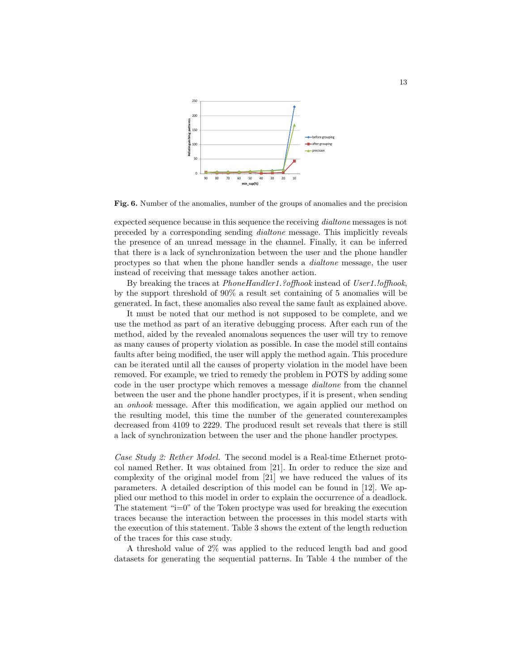

Fig. 6. Number of the anomalies, number of the groups of anomalies and the precision

expected sequence because in this sequence the receiving dialtone messages is not preceded by a corresponding sending dialtone message. This implicitly reveals the presence of an unread message in the channel. Finally, it can be inferred that there is a lack of synchronization between the user and the phone handler proctypes so that when the phone handler sends a dialtone message, the user instead of receiving that message takes another action.

By breaking the traces at PhoneHandler1.?offhook instead of User1.!offhook, by the support threshold of 90% a result set containing of 5 anomalies will be generated. In fact, these anomalies also reveal the same fault as explained above.

It must be noted that our method is not supposed to be complete, and we use the method as part of an iterative debugging process. After each run of the method, aided by the revealed anomalous sequences the user will try to remove as many causes of property violation as possible. In case the model still contains faults after being modified, the user will apply the method again. This procedure can be iterated until all the causes of property violation in the model have been removed. For example, we tried to remedy the problem in POTS by adding some code in the user proctype which removes a message dialtone from the channel between the user and the phone handler proctypes, if it is present, when sending an onhook message. After this modification, we again applied our method on the resulting model, this time the number of the generated counterexamples decreased from 4109 to 2229. The produced result set reveals that there is still a lack of synchronization between the user and the phone handler proctypes.

Case Study 2: Rether Model. The second model is a Real-time Ethernet protocol named Rether. It was obtained from [21]. In order to reduce the size and complexity of the original model from [21] we have reduced the values of its parameters. A detailed description of this model can be found in [12]. We applied our method to this model in order to explain the occurrence of a deadlock. The statement "i=0" of the Token proctype was used for breaking the execution traces because the interaction between the processes in this model starts with the execution of this statement. Table 3 shows the extent of the length reduction of the traces for this case study.

A threshold value of 2% was applied to the reduced length bad and good datasets for generating the sequential patterns. In Table 4 the number of the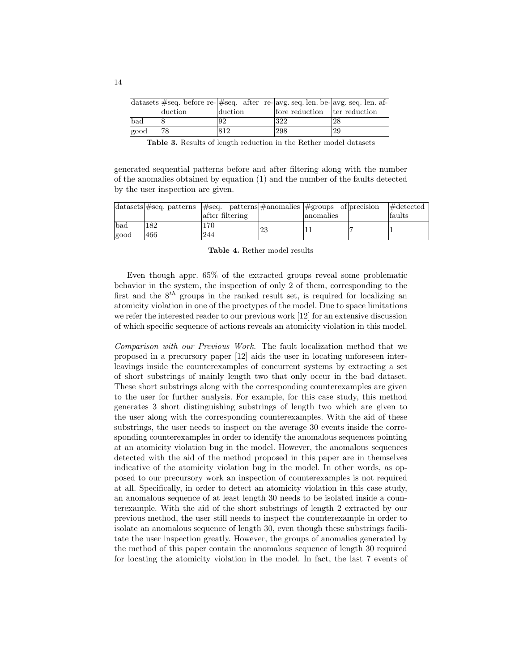|      |         |         | $ {\rm datasets} $ #seq. before re- $ $ #seq. after re- $ {\rm avg.}$ seq. len. be- $ {\rm avg.}$ seq. len. af- |    |
|------|---------|---------|-----------------------------------------------------------------------------------------------------------------|----|
|      | duction | duction | fore reduction ter reduction                                                                                    |    |
| bad  |         | 92      | 322                                                                                                             | 28 |
| good | 78      | 812     | 298                                                                                                             | 29 |

Table 3. Results of length reduction in the Rether model datasets

generated sequential patterns before and after filtering along with the number of the anomalies obtained by equation (1) and the number of the faults detected by the user inspection are given.

|      |     | $ {\rm datasets} $ #seq. patterns $ \text{#seq.}$ patterns $ \text{#anomalies} $ #groups of precision |     |                    | $\# detected$ |
|------|-----|-------------------------------------------------------------------------------------------------------|-----|--------------------|---------------|
|      |     | after filtering                                                                                       |     | <i>s</i> anomalies | lfaults       |
| bad  | 182 | 170                                                                                                   |     |                    |               |
| good | 466 | 244                                                                                                   | ∠.) |                    |               |

Table 4. Rether model results

Even though appr. 65% of the extracted groups reveal some problematic behavior in the system, the inspection of only 2 of them, corresponding to the first and the  $8^{th}$  groups in the ranked result set, is required for localizing an atomicity violation in one of the proctypes of the model. Due to space limitations we refer the interested reader to our previous work [12] for an extensive discussion of which specific sequence of actions reveals an atomicity violation in this model.

Comparison with our Previous Work. The fault localization method that we proposed in a precursory paper [12] aids the user in locating unforeseen interleavings inside the counterexamples of concurrent systems by extracting a set of short substrings of mainly length two that only occur in the bad dataset. These short substrings along with the corresponding counterexamples are given to the user for further analysis. For example, for this case study, this method generates 3 short distinguishing substrings of length two which are given to the user along with the corresponding counterexamples. With the aid of these substrings, the user needs to inspect on the average 30 events inside the corresponding counterexamples in order to identify the anomalous sequences pointing at an atomicity violation bug in the model. However, the anomalous sequences detected with the aid of the method proposed in this paper are in themselves indicative of the atomicity violation bug in the model. In other words, as opposed to our precursory work an inspection of counterexamples is not required at all. Specifically, in order to detect an atomicity violation in this case study, an anomalous sequence of at least length 30 needs to be isolated inside a counterexample. With the aid of the short substrings of length 2 extracted by our previous method, the user still needs to inspect the counterexample in order to isolate an anomalous sequence of length 30, even though these substrings facilitate the user inspection greatly. However, the groups of anomalies generated by the method of this paper contain the anomalous sequence of length 30 required for locating the atomicity violation in the model. In fact, the last 7 events of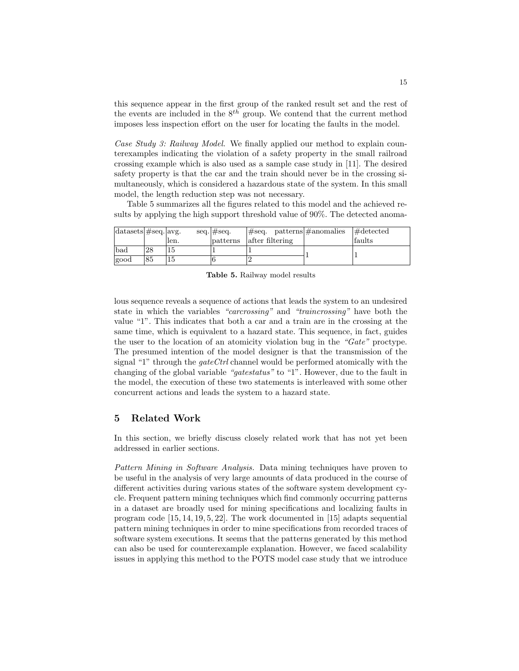this sequence appear in the first group of the ranked result set and the rest of the events are included in the  $8^{th}$  group. We contend that the current method imposes less inspection effort on the user for locating the faults in the model.

Case Study 3: Railway Model. We finally applied our method to explain counterexamples indicating the violation of a safety property in the small railroad crossing example which is also used as a sample case study in [11]. The desired safety property is that the car and the train should never be in the crossing simultaneously, which is considered a hazardous state of the system. In this small model, the length reduction step was not necessary.

Table 5 summarizes all the figures related to this model and the achieved results by applying the high support threshold value of 90%. The detected anoma-

| $ {\rm datasets} $ #seq. $ {\rm avg.} $ |    |      | $seq. \#seq.$ | $ \# \text{seq.}$ patterns $ \# \text{anomalies} $ | $\# \text{detected}$ |
|-----------------------------------------|----|------|---------------|----------------------------------------------------|----------------------|
|                                         |    | len. |               | patterns after filtering                           | faults               |
| bad                                     | 28 | ТÐ   |               |                                                    |                      |
| good                                    | 85 |      |               |                                                    |                      |

Table 5. Railway model results

lous sequence reveals a sequence of actions that leads the system to an undesired state in which the variables "carcrossing" and "traincrossing" have both the value "1". This indicates that both a car and a train are in the crossing at the same time, which is equivalent to a hazard state. This sequence, in fact, guides the user to the location of an atomicity violation bug in the "Gate" proctype. The presumed intention of the model designer is that the transmission of the signal "1" through the *qateCtrl* channel would be performed atomically with the changing of the global variable "gatestatus" to "1". However, due to the fault in the model, the execution of these two statements is interleaved with some other concurrent actions and leads the system to a hazard state.

# 5 Related Work

In this section, we briefly discuss closely related work that has not yet been addressed in earlier sections.

Pattern Mining in Software Analysis. Data mining techniques have proven to be useful in the analysis of very large amounts of data produced in the course of different activities during various states of the software system development cycle. Frequent pattern mining techniques which find commonly occurring patterns in a dataset are broadly used for mining specifications and localizing faults in program code [15, 14, 19, 5, 22]. The work documented in [15] adapts sequential pattern mining techniques in order to mine specifications from recorded traces of software system executions. It seems that the patterns generated by this method can also be used for counterexample explanation. However, we faced scalability issues in applying this method to the POTS model case study that we introduce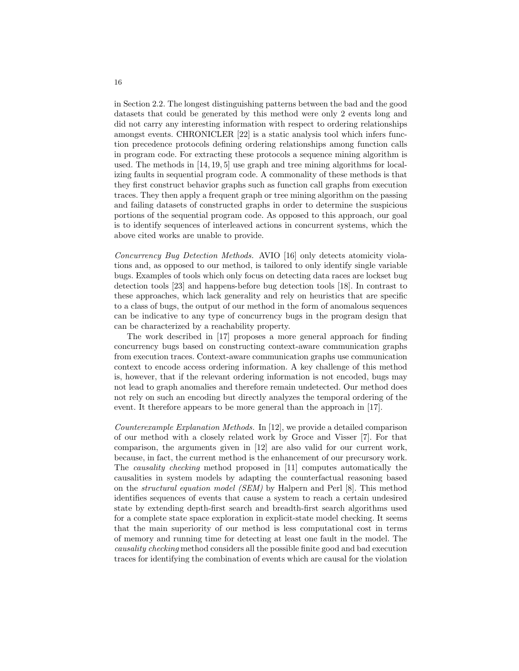in Section 2.2. The longest distinguishing patterns between the bad and the good datasets that could be generated by this method were only 2 events long and did not carry any interesting information with respect to ordering relationships amongst events. CHRONICLER [22] is a static analysis tool which infers function precedence protocols defining ordering relationships among function calls in program code. For extracting these protocols a sequence mining algorithm is used. The methods in [14, 19, 5] use graph and tree mining algorithms for localizing faults in sequential program code. A commonality of these methods is that they first construct behavior graphs such as function call graphs from execution traces. They then apply a frequent graph or tree mining algorithm on the passing and failing datasets of constructed graphs in order to determine the suspicious portions of the sequential program code. As opposed to this approach, our goal is to identify sequences of interleaved actions in concurrent systems, which the above cited works are unable to provide.

Concurrency Bug Detection Methods. AVIO [16] only detects atomicity violations and, as opposed to our method, is tailored to only identify single variable bugs. Examples of tools which only focus on detecting data races are lockset bug detection tools [23] and happens-before bug detection tools [18]. In contrast to these approaches, which lack generality and rely on heuristics that are specific to a class of bugs, the output of our method in the form of anomalous sequences can be indicative to any type of concurrency bugs in the program design that can be characterized by a reachability property.

The work described in [17] proposes a more general approach for finding concurrency bugs based on constructing context-aware communication graphs from execution traces. Context-aware communication graphs use communication context to encode access ordering information. A key challenge of this method is, however, that if the relevant ordering information is not encoded, bugs may not lead to graph anomalies and therefore remain undetected. Our method does not rely on such an encoding but directly analyzes the temporal ordering of the event. It therefore appears to be more general than the approach in [17].

Counterexample Explanation Methods. In [12], we provide a detailed comparison of our method with a closely related work by Groce and Visser [7]. For that comparison, the arguments given in [12] are also valid for our current work, because, in fact, the current method is the enhancement of our precursory work. The causality checking method proposed in [11] computes automatically the causalities in system models by adapting the counterfactual reasoning based on the structural equation model (SEM) by Halpern and Perl [8]. This method identifies sequences of events that cause a system to reach a certain undesired state by extending depth-first search and breadth-first search algorithms used for a complete state space exploration in explicit-state model checking. It seems that the main superiority of our method is less computational cost in terms of memory and running time for detecting at least one fault in the model. The causality checking method considers all the possible finite good and bad execution traces for identifying the combination of events which are causal for the violation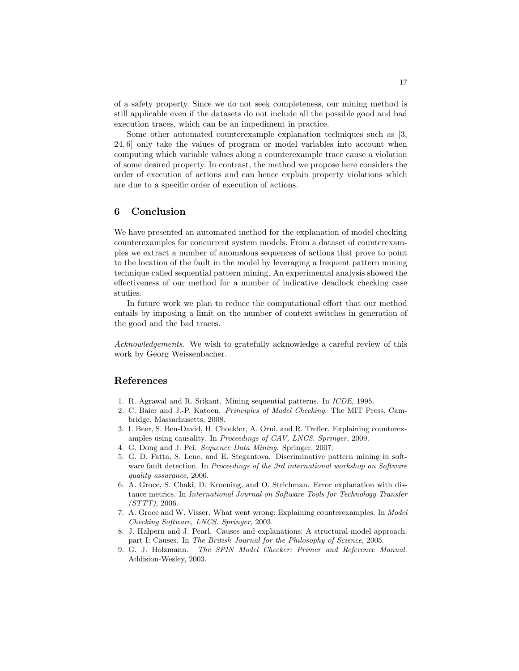of a safety property. Since we do not seek completeness, our mining method is still applicable even if the datasets do not include all the possible good and bad execution traces, which can be an impediment in practice.

Some other automated counterexample explanation techniques such as [3, 24, 6] only take the values of program or model variables into account when computing which variable values along a counterexample trace cause a violation of some desired property. In contrast, the method we propose here considers the order of execution of actions and can hence explain property violations which are due to a specific order of execution of actions.

## 6 Conclusion

We have presented an automated method for the explanation of model checking counterexamples for concurrent system models. From a dataset of counterexamples we extract a number of anomalous sequences of actions that prove to point to the location of the fault in the model by leveraging a frequent pattern mining technique called sequential pattern mining. An experimental analysis showed the effectiveness of our method for a number of indicative deadlock checking case studies.

In future work we plan to reduce the computational effort that our method entails by imposing a limit on the number of context switches in generation of the good and the bad traces.

Acknowledgements. We wish to gratefully acknowledge a careful review of this work by Georg Weissenbacher.

## References

- 1. R. Agrawal and R. Srikant. Mining sequential patterns. In ICDE, 1995.
- 2. C. Baier and J.-P. Katoen. Principles of Model Checking. The MIT Press, Cambridge, Massachusetts, 2008.
- 3. I. Beer, S. Ben-David, H. Chockler, A. Orni, and R. Trefler. Explaining counterexamples using causality. In Proceedings of CAV, LNCS. Springer, 2009.
- 4. G. Dong and J. Pei. Sequence Data Mining. Springer, 2007.
- 5. G. D. Fatta, S. Leue, and E. Stegantova. Discriminative pattern mining in software fault detection. In Proceedings of the 3rd international workshop on Software quality assurance, 2006.
- 6. A. Groce, S. Chaki, D. Kroening, and O. Strichman. Error explanation with distance metrics. In International Journal on Software Tools for Technology Transfer (STTT), 2006.
- 7. A. Groce and W. Visser. What went wrong: Explaining counterexamples. In Model Checking Software, LNCS. Springer, 2003.
- 8. J. Halpern and J. Pearl. Causes and explanations: A structural-model approach. part I: Causes. In The British Journal for the Philosophy of Science, 2005.
- 9. G. J. Holzmann. The SPIN Model Checker: Primer and Reference Manual. Addision-Wesley, 2003.